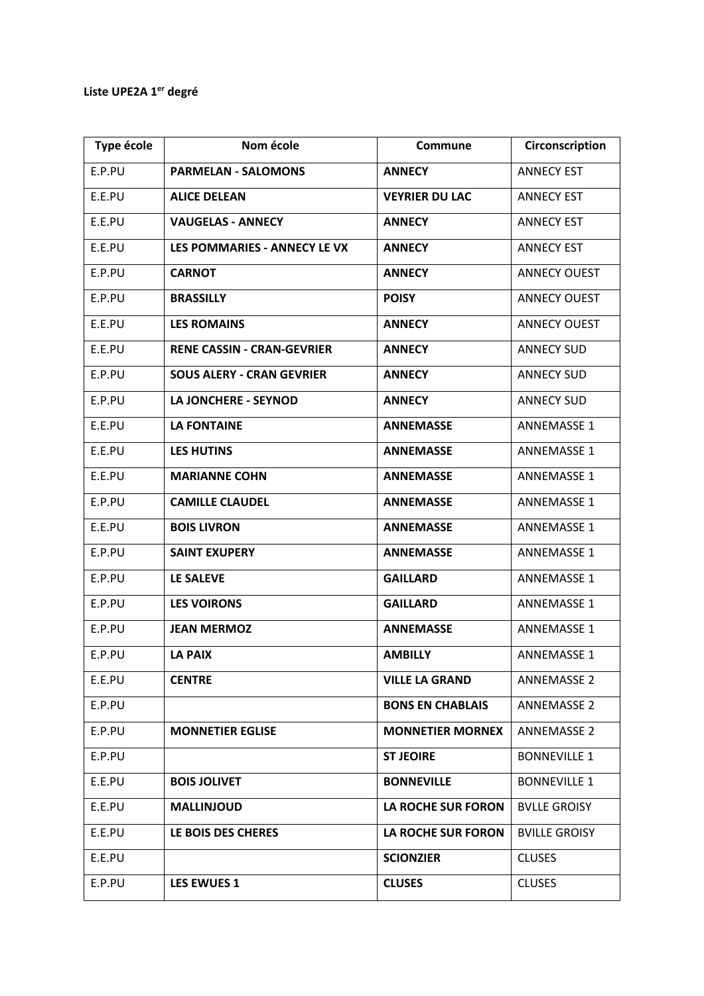## **Liste UPE2A 1er degré**

| Type école | Nom école                         | Commune                   | Circonscription      |
|------------|-----------------------------------|---------------------------|----------------------|
| E.P.PU     | <b>PARMELAN - SALOMONS</b>        | <b>ANNECY</b>             | <b>ANNECY EST</b>    |
| E.E.PU     | <b>ALICE DELEAN</b>               | <b>VEYRIER DU LAC</b>     | <b>ANNECY EST</b>    |
| E.E.PU     | <b>VAUGELAS - ANNECY</b>          | <b>ANNECY</b>             | <b>ANNECY EST</b>    |
| E.E.PU     | LES POMMARIES - ANNECY LE VX      | <b>ANNECY</b>             | <b>ANNECY EST</b>    |
| E.P.PU     | <b>CARNOT</b>                     | <b>ANNECY</b>             | <b>ANNECY OUEST</b>  |
| E.P.PU     | <b>BRASSILLY</b>                  | <b>POISY</b>              | <b>ANNECY OUEST</b>  |
| E.E.PU     | <b>LES ROMAINS</b>                | <b>ANNECY</b>             | <b>ANNECY OUEST</b>  |
| E.E.PU     | <b>RENE CASSIN - CRAN-GEVRIER</b> | <b>ANNECY</b>             | <b>ANNECY SUD</b>    |
| E.P.PU     | <b>SOUS ALERY - CRAN GEVRIER</b>  | <b>ANNECY</b>             | <b>ANNECY SUD</b>    |
| E.P.PU     | LA JONCHERE - SEYNOD              | <b>ANNECY</b>             | <b>ANNECY SUD</b>    |
| E.E.PU     | <b>LA FONTAINE</b>                | <b>ANNEMASSE</b>          | <b>ANNEMASSE 1</b>   |
| E.E.PU     | <b>LES HUTINS</b>                 | <b>ANNEMASSE</b>          | <b>ANNEMASSE 1</b>   |
| E.E.PU     | <b>MARIANNE COHN</b>              | <b>ANNEMASSE</b>          | <b>ANNEMASSE 1</b>   |
| E.P.PU     | <b>CAMILLE CLAUDEL</b>            | <b>ANNEMASSE</b>          | <b>ANNEMASSE 1</b>   |
| E.E.PU     | <b>BOIS LIVRON</b>                | <b>ANNEMASSE</b>          | <b>ANNEMASSE 1</b>   |
| E.P.PU     | <b>SAINT EXUPERY</b>              | <b>ANNEMASSE</b>          | <b>ANNEMASSE 1</b>   |
| E.P.PU     | LE SALEVE                         | <b>GAILLARD</b>           | <b>ANNEMASSE 1</b>   |
| E.P.PU     | <b>LES VOIRONS</b>                | <b>GAILLARD</b>           | <b>ANNEMASSE 1</b>   |
| E.P.PU     | <b>JEAN MERMOZ</b>                | <b>ANNEMASSE</b>          | <b>ANNEMASSE 1</b>   |
| E.P.PU     | <b>LA PAIX</b>                    | <b>AMBILLY</b>            | <b>ANNEMASSE 1</b>   |
| E.E.PU     | <b>CENTRE</b>                     | <b>VILLE LA GRAND</b>     | <b>ANNEMASSE 2</b>   |
| E.P.PU     |                                   | <b>BONS EN CHABLAIS</b>   | <b>ANNEMASSE 2</b>   |
| E.P.PU     | <b>MONNETIER EGLISE</b>           | <b>MONNETIER MORNEX</b>   | <b>ANNEMASSE 2</b>   |
| E.P.PU     |                                   | <b>ST JEOIRE</b>          | <b>BONNEVILLE 1</b>  |
| E.E.PU     | <b>BOIS JOLIVET</b>               | <b>BONNEVILLE</b>         | <b>BONNEVILLE 1</b>  |
| E.E.PU     | <b>MALLINJOUD</b>                 | LA ROCHE SUR FORON        | <b>BVLLE GROISY</b>  |
| E.E.PU     | LE BOIS DES CHERES                | <b>LA ROCHE SUR FORON</b> | <b>BVILLE GROISY</b> |
| E.E.PU     |                                   | <b>SCIONZIER</b>          | <b>CLUSES</b>        |
| E.P.PU     | <b>LES EWUES 1</b>                | <b>CLUSES</b>             | <b>CLUSES</b>        |